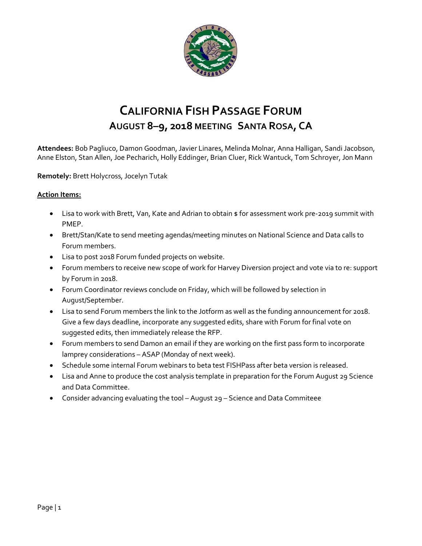

# **CALIFORNIA FISH PASSAGE FORUM AUGUST 8–9, 2018 MEETING SANTA ROSA, CA**

**Attendees:** Bob Pagliuco, Damon Goodman, Javier Linares, Melinda Molnar, Anna Halligan, Sandi Jacobson, Anne Elston, Stan Allen, Joe Pecharich, Holly Eddinger, Brian Cluer, Rick Wantuck, Tom Schroyer, Jon Mann

**Remotely:** Brett Holycross, Jocelyn Tutak

## **Action Items:**

- Lisa to work with Brett, Van, Kate and Adrian to obtain \$ for assessment work pre-2019 summit with PMEP.
- Brett/Stan/Kate to send meeting agendas/meeting minutes on National Science and Data calls to Forum members.
- Lisa to post 2018 Forum funded projects on website.
- Forum members to receive new scope of work for Harvey Diversion project and vote via to re: support by Forum in 2018.
- Forum Coordinator reviews conclude on Friday, which will be followed by selection in August/September.
- Lisa to send Forum members the link to the Jotform as well as the funding announcement for 2018. Give a few days deadline, incorporate any suggested edits, share with Forum for final vote on suggested edits, then immediately release the RFP.
- Forum members to send Damon an email if they are working on the first pass form to incorporate lamprey considerations – ASAP (Monday of next week).
- Schedule some internal Forum webinars to beta test FISHPass after beta version is released.
- Lisa and Anne to produce the cost analysis template in preparation for the Forum August 29 Science and Data Committee.
- Consider advancing evaluating the tool August 29 Science and Data Commiteee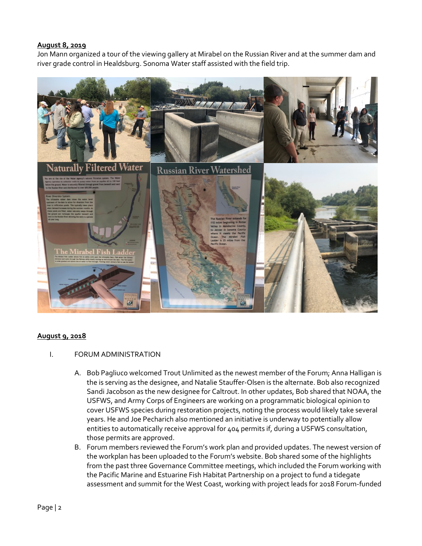#### **August 8, 2019**

Jon Mann organized a tour of the viewing gallery at Mirabel on the Russian River and at the summer dam and river grade control in Healdsburg. Sonoma Water staff assisted with the field trip.



## **August 9, 2018**

#### I. FORUM ADMINISTRATION

- A. Bob Pagliuco welcomed Trout Unlimited as the newest member of the Forum; Anna Halligan is the is serving as the designee, and Natalie Stauffer-Olsen is the alternate. Bob also recognized Sandi Jacobson as the new designee for Caltrout. In other updates, Bob shared that NOAA, the USFWS, and Army Corps of Engineers are working on a programmatic biological opinion to cover USFWS species during restoration projects, noting the process would likely take several years. He and Joe Pecharich also mentioned an initiative is underway to potentially allow entities to automatically receive approval for 404 permits if, during a USFWS consultation, those permits are approved.
- B. Forum members reviewed the Forum's work plan and provided updates. The newest version of the workplan has been uploaded to the Forum's website. Bob shared some of the highlights from the past three Governance Committee meetings, which included the Forum working with the Pacific Marine and Estuarine Fish Habitat Partnership on a project to fund a tidegate assessment and summit for the West Coast, working with project leads for 2018 Forum-funded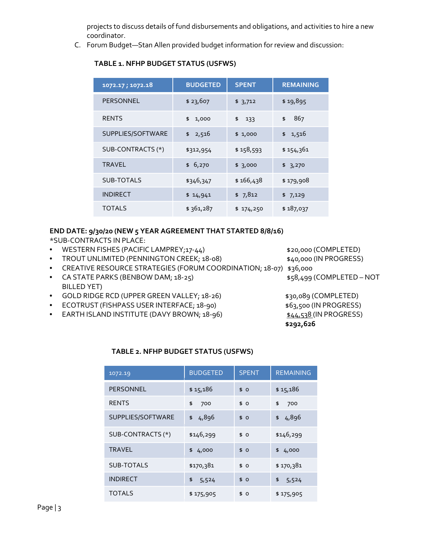projects to discuss details of fund disbursements and obligations, and activities to hire a new coordinator.

C. Forum Budget—Stan Allen provided budget information for review and discussion:

| 1072.17; 1072.18  | <b>BUDGETED</b> | <b>SPENT</b> | <b>REMAINING</b> |
|-------------------|-----------------|--------------|------------------|
| <b>PERSONNEL</b>  | \$23,607        | \$3,712      | \$19,895         |
| <b>RENTS</b>      | 1,000<br>\$     | \$<br>133    | 867<br>\$        |
| SUPPLIES/SOFTWARE | \$2,516         | \$1,000      | 1,516<br>\$      |
| SUB-CONTRACTS (*) | \$312,954       | \$158,593    | \$154,361        |
| <b>TRAVEL</b>     | \$6,270         | \$3,000      | \$3,270          |
| <b>SUB-TOTALS</b> | \$346,347       | \$166,438    | \$179,908        |
| <b>INDIRECT</b>   | \$14,941        | \$7,812      | \$7,129          |
| <b>TOTALS</b>     | \$361,287       | \$174,250    | \$187,037        |

# **TABLE 1. NFHP BUDGET STATUS (USFWS)**

# **END DATE: 9/30/20 (NEW 5 YEAR AGREEMENT THAT STARTED 8/8/16)**

\*SUB-CONTRACTS IN PLACE:

- WESTERN FISHES (PACIFIC LAMPREY;17-44) \$20,000 (COMPLETED)
- TROUT UNLIMITED (PENNINGTON CREEK; 18-08) \$40,000 (IN PROGRESS)
- CREATIVE RESOURCE STRATEGIES (FORUM COORDINATION; 18-07) \$36,000
- CA STATE PARKS (BENBOW DAM; 18-25) \$58,499 (COMPLETED NOT BILLED YET)
- GOLD RIDGE RCD (UPPER GREEN VALLEY; 18-26) \$30,089 (COMPLETED)
- ECOTRUST (FISHPASS USER INTERFACE; 18-90) \$63,500 (IN PROGRESS)
- EARTH ISLAND INSTITUTE (DAVY BROWN;  $18-96$ )  $\frac{$44.538}{10}$  (IN PROGRESS)

- 
- 
- 
- **\$292,626**

## **TABLE 2. NFHP BUDGET STATUS (USFWS)**

| 1072.19           | <b>BUDGETED</b> | <b>SPENT</b> | <b>REMAINING</b> |
|-------------------|-----------------|--------------|------------------|
| <b>PERSONNEL</b>  | \$15,186        | \$0          | \$15,186         |
| <b>RENTS</b>      | \$<br>700       | \$0          | 700<br>\$        |
| SUPPLIES/SOFTWARE | 4,896<br>\$     | \$0          | 4,896<br>\$      |
| SUB-CONTRACTS (*) | \$146,299       | \$0          | \$146,299        |
| <b>TRAVEL</b>     | 4,000<br>\$     | \$0          | 4,000<br>\$      |
| SUB-TOTALS        | \$170,381       | \$0          | \$170,381        |
| <b>INDIRECT</b>   | \$<br>5,524     | \$0          | \$<br>5,524      |
| <b>TOTALS</b>     | \$175,905       | \$<br>0      | \$175,905        |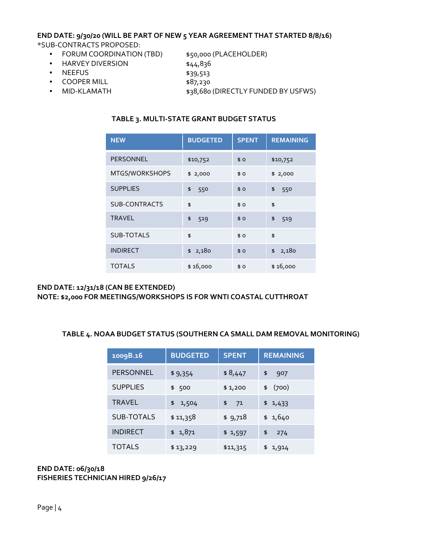#### **END DATE: 9/30/20 (WILL BE PART OF NEW 5 YEAR AGREEMENT THAT STARTED 8/8/16)** \*SUB-CONTRACTS PROPOSED:

- FORUM COORDINATION (TBD) \$50,000 (PLACEHOLDER)
- HARVEY DIVERSION \$44,836
- NEEFUS \$39,513
- 
- COOPER MILL \$87,230
- 

- 
- MID-KLAMATH \$38,680 (DIRECTLY FUNDED BY USFWS)

# **TABLE 3. MULTI-STATE GRANT BUDGET STATUS**

| <b>NEW</b>           | <b>BUDGETED</b> | <b>SPENT</b> | <b>REMAINING</b> |
|----------------------|-----------------|--------------|------------------|
| PERSONNEL            | \$10,752        | \$0          | \$10,752         |
| MTGS/WORKSHOPS       | \$2,000         | \$0          | \$2,000          |
| <b>SUPPLIES</b>      | \$<br>550       | \$0          | \$<br>550        |
| <b>SUB-CONTRACTS</b> | \$              | \$0          | \$               |
| <b>TRAVEL</b>        | \$<br>519       | \$0          | \$<br>519        |
| <b>SUB-TOTALS</b>    | \$              | \$0          | \$               |
| <b>INDIRECT</b>      | \$2,180         | \$0          | 2,180<br>\$      |
| <b>TOTALS</b>        | \$16,000        | \$0          | \$16,000         |

#### **END DATE: 12/31/18 (CAN BE EXTENDED) NOTE: \$2,000 FOR MEETINGS/WORKSHOPS IS FOR WNTI COASTAL CUTTHROAT**

## **TABLE 4. NOAA BUDGET STATUS (SOUTHERN CA SMALL DAM REMOVAL MONITORING)**

| 1009B.16          | <b>BUDGETED</b> | <b>SPENT</b> | <b>REMAINING</b> |
|-------------------|-----------------|--------------|------------------|
| <b>PERSONNEL</b>  | \$9,354         | \$8,447      | \$<br>907        |
| <b>SUPPLIES</b>   | \$ 500          | \$1,200      | (700)<br>\$      |
| <b>TRAVEL</b>     | 1,504<br>\$     | \$<br>71     | \$1,433          |
| <b>SUB-TOTALS</b> | \$11,358        | \$9,718      | \$1,640          |
| <b>INDIRECT</b>   | \$ 1,871        | \$1,597      | \$<br>274        |
| <b>TOTALS</b>     | \$13,229        | \$11,315     | \$1,914          |

#### **END DATE: 06/30/18 FISHERIES TECHNICIAN HIRED 9/26/17**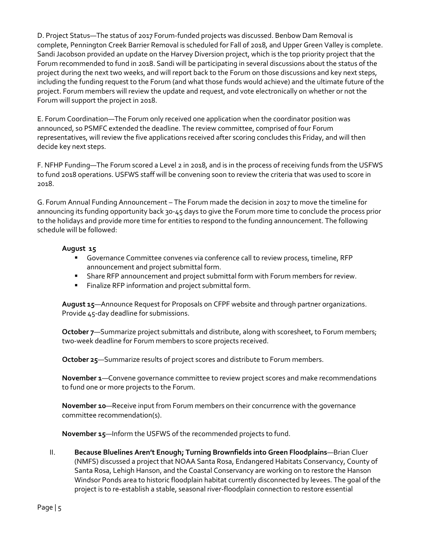D. Project Status—The status of 2017 Forum-funded projects was discussed. Benbow Dam Removal is complete, Pennington Creek Barrier Removal is scheduled for Fall of 2018, and Upper Green Valley is complete. Sandi Jacobson provided an update on the Harvey Diversion project, which is the top priority project that the Forum recommended to fund in 2018. Sandi will be participating in several discussions about the status of the project during the next two weeks, and will report back to the Forum on those discussions and key next steps, including the funding request to the Forum (and what those funds would achieve) and the ultimate future of the project. Forum members will review the update and request, and vote electronically on whether or not the Forum will support the project in 2018.

E. Forum Coordination—The Forum only received one application when the coordinator position was announced, so PSMFC extended the deadline. The review committee, comprised of four Forum representatives, will review the five applications received after scoring concludes this Friday, and will then decide key next steps.

F. NFHP Funding—The Forum scored a Level 2 in 2018, and is in the process of receiving funds from the USFWS to fund 2018 operations. USFWS staff will be convening soon to review the criteria that was used to score in 2018.

G. Forum Annual Funding Announcement – The Forum made the decision in 2017 to move the timeline for announcing its funding opportunity back 30-45 days to give the Forum more time to conclude the process prior to the holidays and provide more time for entities to respond to the funding announcement. The following schedule will be followed:

# **August 15**

- Governance Committee convenes via conference call to review process, timeline, RFP announcement and project submittal form.
- **Share RFP announcement and project submittal form with Forum members for review.**
- **Finalize RFP information and project submittal form.**

**August 15**—Announce Request for Proposals on CFPF website and through partner organizations. Provide 45-day deadline for submissions.

**October 7**—Summarize project submittals and distribute, along with scoresheet, to Forum members; two-week deadline for Forum members to score projects received.

**October 25**—Summarize results of project scores and distribute to Forum members.

**November 1**—Convene governance committee to review project scores and make recommendations to fund one or more projects to the Forum.

**November 10**—Receive input from Forum members on their concurrence with the governance committee recommendation(s).

**November 15**—Inform the USFWS of the recommended projects to fund.

II. **Because Bluelines Aren't Enough; Turning Brownfields into Green Floodplains**—Brian Cluer (NMFS) discussed a project that NOAA Santa Rosa, Endangered Habitats Conservancy, County of Santa Rosa, Lehigh Hanson, and the Coastal Conservancy are working on to restore the Hanson Windsor Ponds area to historic floodplain habitat currently disconnected by levees. The goal of the project is to re-establish a stable, seasonal river-floodplain connection to restore essential